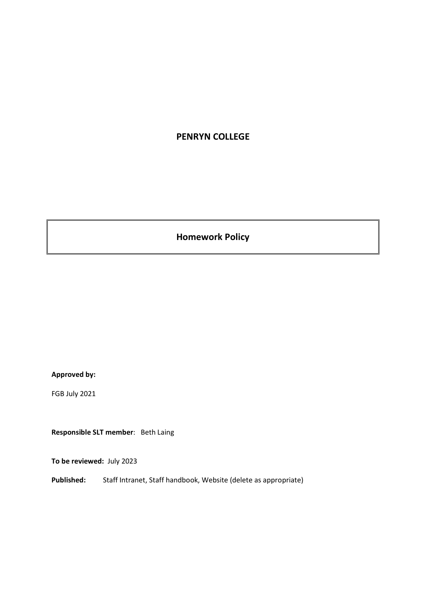# **PENRYN COLLEGE**

**Homework Policy**

# **Approved by:**

FGB July 2021

**Responsible SLT member**: Beth Laing

**To be reviewed:** July 2023

**Published:** Staff Intranet, Staff handbook, Website (delete as appropriate)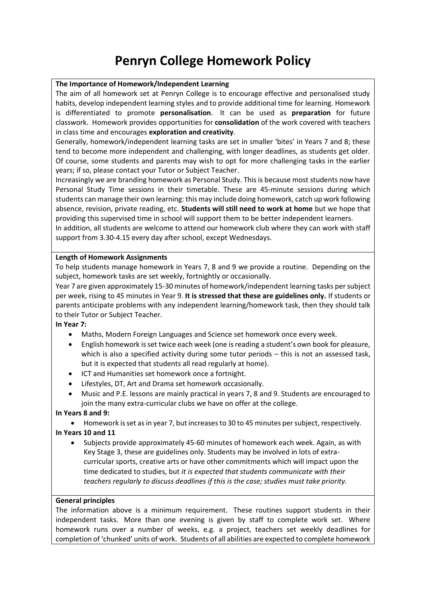# **Penryn College Homework Policy**

#### **The Importance of Homework/Independent Learning**

The aim of all homework set at Penryn College is to encourage effective and personalised study habits, develop [independent learning](http://www.penrice.cornwall.sch.uk/index.php/info/policies/81-statutory-data/130-homework-policy) styles and to provide additional time for learning. Homework is differentiated to promote **personalisation**. It can be used as **preparation** for future classwork. Homework provide[s opportunities](http://www.penrice.cornwall.sch.uk/index.php/info/policies/81-statutory-data/130-homework-policy) for **consolidation** of the work covered with teachers in class time and encourages **exploration and creativity**.

Generally, homework/independent learning tasks are set in smaller 'bites' in Years 7 and 8; these tend to become more independent and challenging, with longer deadlines, as students get older. Of course, some students and parents may wish to opt for more challenging tasks in the earlier years; if so, please contact your Tutor or Subject Teacher.

Increasingly we are branding homework as Personal Study. This is because most students now have Personal Study Time sessions in their timetable. These are 45-minute sessions during which students can manage their own learning: this may include doing homework, catch up work following absence, revision, private reading, etc. **Students will still need to work at home** but we hope that providing this supervised time in school will support them to be better independent learners.

In addition, all students are welcome to attend our homework club where they can work with staff support from 3.30-4.15 every day after school, except Wednesdays.

#### **Length of Homework Assignments**

To help students manage homework in Years 7, 8 and 9 we provide a routine. Depending on the subject, homework tasks are set weekly, fortnightly or occasionally.

Year 7 are given approximately 15-30 minutes of homework/independent learning tasks per subject per week, rising to 45 minutes in Year 9. **It is stressed that these are guidelines only.** If students or parents anticipate problems with any independent learning/homework task, then they should talk to their Tutor or Subject Teacher.

#### **In Year 7:**

- Maths, Modern Foreign Languages and Science set homework once every week.
- English homework is set twice each week (one is reading a student's own book for pleasure, which is also a specified activity during some tutor periods – this is not an assessed task, but it is expected that students all read regularly at home).
- ICT and Humanities set homework once a fortnight.
- Lifestyles, DT, Art and Drama set homework occasionally.
- Music and P.E. lessons are mainly practical in years 7, 8 and 9. Students are encouraged to join the many extra-curricular clubs we have on offer at the college.

# **In Years 8 and 9:**

• Homework is set as in year 7, but increases to 30 to 45 minutes per subject, respectively.

# **In Years 10 and 11**

• Subjects provide approximately 45-60 minutes of homework each week. Again, as with Key Stage 3, these are guidelines only. Students may be involved in lots of extracurricular sports, creative arts or have other commitments which will impact upon the time dedicated to studies, but *it is expected that students communicate with their teachers regularly to discuss deadlines if this is the case; studies must take priority.*

#### **General principles**

The information above is a minimum requirement. These routines support students in their independent tasks. More than one evening is given by staff to complete work set. Where homework runs over a number of weeks, e.g. a project, teachers set weekly deadlines for completion of 'chunked' units of work. Students of all abilities are expected to complete homework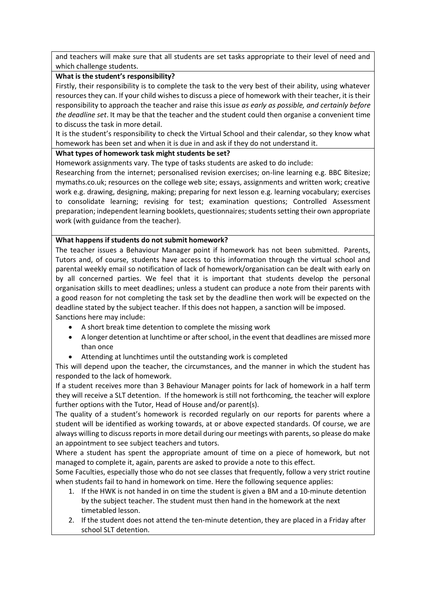and teachers will make sure that all students are set tasks appropriate to their level of need and which challenge students.

### **What is the student's responsibility?**

Firstly, their responsibility is to complete the task to the very best of their ability, using whatever resources they can. If your child wishes to discuss a piece of homework with their teacher, it is their responsibility to approach the teacher and raise this issue *as early as possible, and certainly before the deadline set*. It may be that the teacher and the student could then organise a convenient time to discuss the task in more detail.

It is the student's responsibility to check the Virtual School and their calendar, so they know what homework has been set and when it is due in and ask if they do not understand it.

# **What types of homework task might students be set?**

Homework assignments vary. The type of tasks students are asked to do include:

Researching from the internet; personalised revision exercises; on-line learning e.g. BBC Bitesize; mymaths.co.uk; resources on the college web site; essays, assignments and written work; creative work e.g. drawing, designing, making; preparing for [next](http://www.penrice.cornwall.sch.uk/index.php/info/policies/81-statutory-data/130-homework-policy) lesson e.g. learning vocabulary; exercises to consolidate learning; revising for test; examination questions; Controlled Assessment preparation; independent learning booklets, questionnaires; students setting their own appropriate work (with guidance from the teacher).

### **What happens if students do not submit homework?**

The teacher issues a Behaviour Manager point if homework has not been submitted. Parents, Tutors and, of course, students have access to this information through the virtual school and parental weekly email so notification of lack of homework/organisation can be dealt with early on by all concerned parties. We feel that it is important that students develop the personal organisation skills to meet deadlines; unless a student can produce a note from their parents with a good reason for not completing the task set by the deadline then work will be expected on the deadline stated by the subject teacher. If this does not happen, a sanction will be imposed. Sanctions here may include:

- A short break time detention to complete the missing work
- A longer detention at lunchtime or after school, in the event that deadlines are missed more than once
- Attending at lunchtimes until the outstanding work is completed

This will depend upon the teacher, the circumstances, and the manner in which the student has responded to the lack of homework.

If a student receives more than 3 Behaviour Manager points for lack of homework in a half term they will receive a SLT detention. If the homework is still not forthcoming, the teacher will explore further options with the Tutor, Head of House and/or parent(s).

The quality of a student's homework is recorded regularly on our reports for parents where a student will be identified as working towards, at or above expected standards. Of course, we are always willing to discuss reports in more detail during our meetings with parents, so please do make an appointment to see subject teachers and tutors.

Where a student has spent the appropriate amount of time on a piece of homework, but not managed to complete it, again, parents are asked to provide a note to this effect.

Some Faculties, especially those who do not see classes that frequently, follow a very strict routine when students fail to hand in homework on time. Here the following sequence applies:

- 1. If the HWK is not handed in on time the student is given a BM and a 10-minute detention by the subject teacher. The student must then hand in the homework at the next timetabled lesson.
- 2. If the student does not attend the ten-minute detention, they are placed in a Friday after school SLT detention.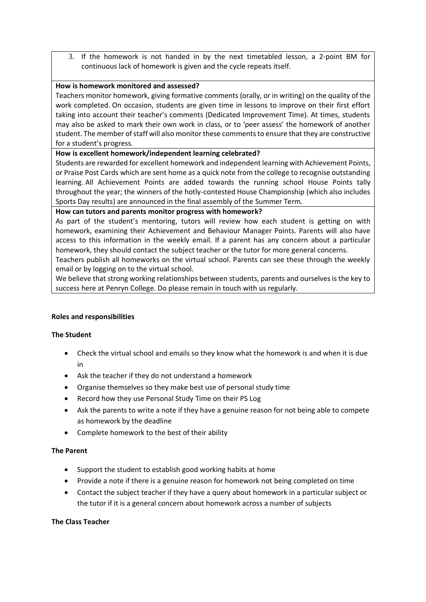3. If the homework is not handed in by the next timetabled lesson, a 2-point BM for continuous lack of homework is given and the cycle repeats itself.

### **How is homework monitored and assessed?**

Teachers monitor homework, giving formative comments (orally, or in writing) on the quality of the work completed. On occasion, students are given time in lessons to improve on their first effort taking into account their teacher's comments (Dedicated Improvement Time). At times, students may also be asked to mark their own work in class, or to 'peer assess' the homework of another student. The member of staff will also monitor these comments to ensure that they are constructive for a student's progress.

# **How is excellent homework/independent learning celebrated?**

Students are rewarded for excellent homework and independent learning with Achievement Points, or Praise Post Cards which are sent home as a quick note from the college to recognise outstanding learning. All Achievement Points are added towards the running school House Points tally throughout the year; the winners of the hotly-contested House Championship (which also includes Sports Day results) are announced in the final assembly of the Summer Term.

### **How can tutors and parents monitor progress with homework?**

As part of the student's mentoring, tutors will review how each student is getting on with homework, examining their Achievement and Behaviour Manager Points. Parents will also have access to this information in the weekly email. If a parent has any concern about a particular homework, they should contact the subject teacher or the tutor for more general concerns.

Teachers publish all homeworks on the virtual school. Parents can see these through the weekly email or by logging on to the virtual school.

We believe that strong working relationships between students, parents and ourselves is the key to success here at Penryn College. Do please remain in touch with us regularly.

#### **Roles and responsibilities**

#### **The Student**

- Check the virtual school and emails so they know what the homework is and when it is due in
- Ask the teacher if they do not understand a homework
- Organise themselves so they make best use of personal study time
- Record how they use Personal Study Time on their PS Log
- Ask the parents to write a note if they have a genuine reason for not being able to compete as homework by the deadline
- Complete homework to the best of their ability

# **The Parent**

- Support the student to establish good working habits at home
- Provide a note if there is a genuine reason for homework not being completed on time
- Contact the subject teacher if they have a query about homework in a particular subject or the tutor if it is a general concern about homework across a number of subjects

# **The Class Teacher**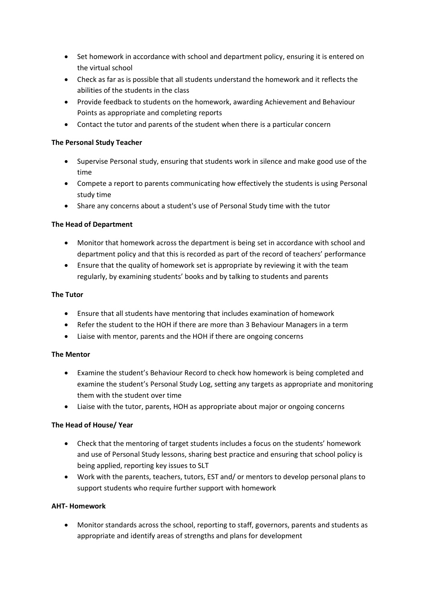- Set homework in accordance with school and department policy, ensuring it is entered on the virtual school
- Check as far as is possible that all students understand the homework and it reflects the abilities of the students in the class
- Provide feedback to students on the homework, awarding Achievement and Behaviour Points as appropriate and completing reports
- Contact the tutor and parents of the student when there is a particular concern

# **The Personal Study Teacher**

- Supervise Personal study, ensuring that students work in silence and make good use of the time
- Compete a report to parents communicating how effectively the students is using Personal study time
- Share any concerns about a student's use of Personal Study time with the tutor

### **The Head of Department**

- Monitor that homework across the department is being set in accordance with school and department policy and that this is recorded as part of the record of teachers' performance
- Ensure that the quality of homework set is appropriate by reviewing it with the team regularly, by examining students' books and by talking to students and parents

#### **The Tutor**

- Ensure that all students have mentoring that includes examination of homework
- Refer the student to the HOH if there are more than 3 Behaviour Managers in a term
- Liaise with mentor, parents and the HOH if there are ongoing concerns

#### **The Mentor**

- Examine the student's Behaviour Record to check how homework is being completed and examine the student's Personal Study Log, setting any targets as appropriate and monitoring them with the student over time
- Liaise with the tutor, parents, HOH as appropriate about major or ongoing concerns

# **The Head of House/ Year**

- Check that the mentoring of target students includes a focus on the students' homework and use of Personal Study lessons, sharing best practice and ensuring that school policy is being applied, reporting key issues to SLT
- Work with the parents, teachers, tutors, EST and/ or mentors to develop personal plans to support students who require further support with homework

#### **AHT- Homework**

• Monitor standards across the school, reporting to staff, governors, parents and students as appropriate and identify areas of strengths and plans for development